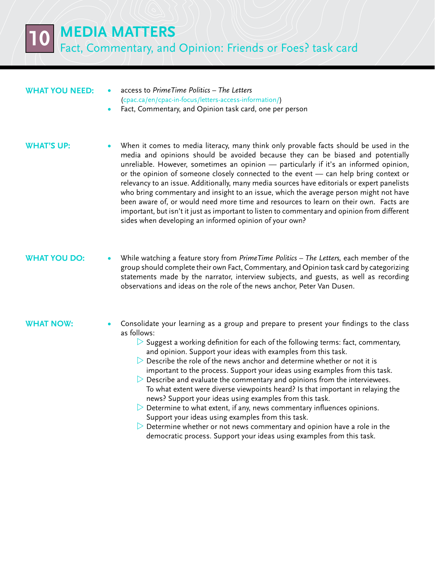**10 Media Matters** Fact, Commentary, and Opinion: Friends or Foes? task card

#### **What you need:**

- **•**  access to *PrimeTime Politics The Letters*  ([cpac.ca/en/cpac-in-focus/letters-access-information/](http://www.cpac.ca/en/cpac-in-focus/letters-access-information/))
- Fact, Commentary, and Opinion task card, one per person

#### **WHAT'S UP:**

When it comes to media literacy, many think only provable facts should be used in the media and opinions should be avoided because they can be biased and potentially unreliable. However, sometimes an opinion — particularly if it's an informed opinion, or the opinion of someone closely connected to the event — can help bring context or relevancy to an issue. Additionally, many media sources have editorials or expert panelists who bring commentary and insight to an issue, which the average person might not have been aware of, or would need more time and resources to learn on their own. Facts are important, but isn't it just as important to listen to commentary and opinion from different sides when developing an informed opinion of your own?

# **WHAT YOU DO:**

**•**  While watching a feature story from *PrimeTime Politics – The Letters,* each member of the group should complete their own Fact, Commentary, and Opinion task card by categorizing statements made by the narrator, interview subjects, and guests, as well as recording observations and ideas on the role of the news anchor, Peter Van Dusen.

### **What now:**

- Consolidate your learning as a group and prepare to present your findings to the class as follows:
	- $\triangleright$  Suggest a working definition for each of the following terms: fact, commentary, and opinion. Support your ideas with examples from this task.
	- $\triangleright$  Describe the role of the news anchor and determine whether or not it is important to the process. Support your ideas using examples from this task.
	- $\triangleright$  Describe and evaluate the commentary and opinions from the interviewees. To what extent were diverse viewpoints heard? Is that important in relaying the news? Support your ideas using examples from this task.
	- $\triangleright$  Determine to what extent, if any, news commentary influences opinions. Support your ideas using examples from this task.
	- $\triangleright$  Determine whether or not news commentary and opinion have a role in the democratic process. Support your ideas using examples from this task.